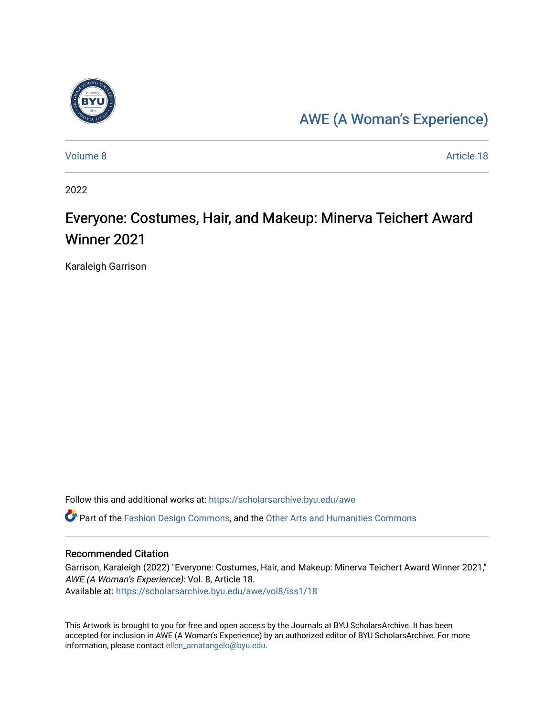

## [AWE \(A Woman's Experience\)](https://scholarsarchive.byu.edu/awe)

[Volume 8](https://scholarsarchive.byu.edu/awe/vol8) Article 18

2022

# Everyone: Costumes, Hair, and Makeup: Minerva Teichert Award Winner 2021

Karaleigh Garrison

Follow this and additional works at: [https://scholarsarchive.byu.edu/awe](https://scholarsarchive.byu.edu/awe?utm_source=scholarsarchive.byu.edu%2Fawe%2Fvol8%2Fiss1%2F18&utm_medium=PDF&utm_campaign=PDFCoverPages)

Part of the [Fashion Design Commons,](https://network.bepress.com/hgg/discipline/1132?utm_source=scholarsarchive.byu.edu%2Fawe%2Fvol8%2Fiss1%2F18&utm_medium=PDF&utm_campaign=PDFCoverPages) and the [Other Arts and Humanities Commons](https://network.bepress.com/hgg/discipline/577?utm_source=scholarsarchive.byu.edu%2Fawe%2Fvol8%2Fiss1%2F18&utm_medium=PDF&utm_campaign=PDFCoverPages) 

#### Recommended Citation

Garrison, Karaleigh (2022) "Everyone: Costumes, Hair, and Makeup: Minerva Teichert Award Winner 2021," AWE (A Woman's Experience): Vol. 8, Article 18. Available at: [https://scholarsarchive.byu.edu/awe/vol8/iss1/18](https://scholarsarchive.byu.edu/awe/vol8/iss1/18?utm_source=scholarsarchive.byu.edu%2Fawe%2Fvol8%2Fiss1%2F18&utm_medium=PDF&utm_campaign=PDFCoverPages) 

This Artwork is brought to you for free and open access by the Journals at BYU ScholarsArchive. It has been accepted for inclusion in AWE (A Woman's Experience) by an authorized editor of BYU ScholarsArchive. For more information, please contact [ellen\\_amatangelo@byu.edu.](mailto:ellen_amatangelo@byu.edu)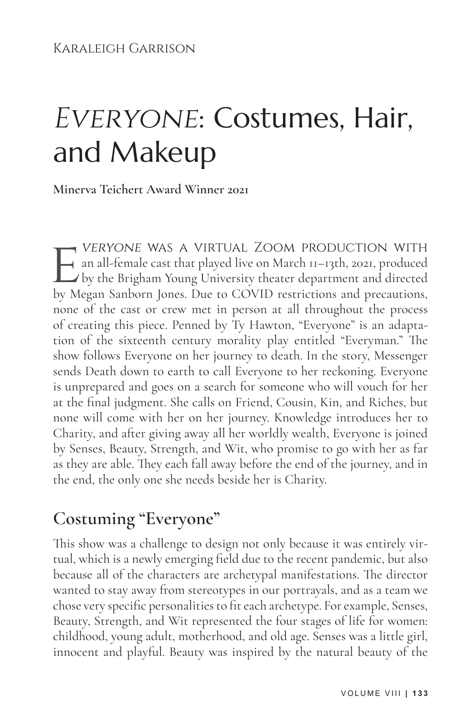# EVERYONE: Costumes, Hair, and Makeup

**Minerva Teichert Award Winner 2021**

**EVERYONE WAS A VIRTUAL ZOOM PRODUCTION WITH**<br>an all-female cast that played live on March 11–13th, 2021, produced<br>by the Brigham Young University theater department and directed<br>by Megan Sanborn Jones. Due to COVID restri an all-female cast that played live on March 11–13th, 2021, produced by the Brigham Young University theater department and directed by Megan Sanborn Jones. Due to COVID restrictions and precautions, none of the cast or crew met in person at all throughout the process of creating this piece. Penned by Ty Hawton, "Everyone" is an adaptation of the sixteenth century morality play entitled "Everyman." The show follows Everyone on her journey to death. In the story, Messenger sends Death down to earth to call Everyone to her reckoning. Everyone is unprepared and goes on a search for someone who will vouch for her at the final judgment. She calls on Friend, Cousin, Kin, and Riches, but none will come with her on her journey. Knowledge introduces her to Charity, and after giving away all her worldly wealth, Everyone is joined by Senses, Beauty, Strength, and Wit, who promise to go with her as far as they are able. They each fall away before the end of the journey, and in the end, the only one she needs beside her is Charity.

## **Costuming "Everyone"**

This show was a challenge to design not only because it was entirely virtual, which is a newly emerging field due to the recent pandemic, but also because all of the characters are archetypal manifestations. The director wanted to stay away from stereotypes in our portrayals, and as a team we chose very specific personalities to fit each archetype. For example, Senses, Beauty, Strength, and Wit represented the four stages of life for women: childhood, young adult, motherhood, and old age. Senses was a little girl, innocent and playful. Beauty was inspired by the natural beauty of the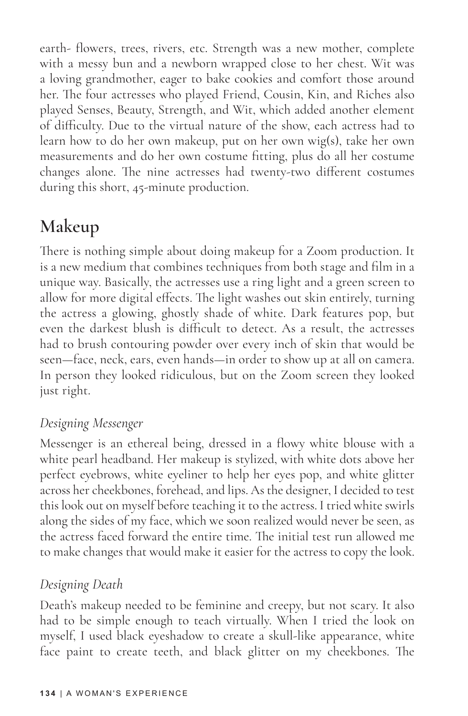earth- flowers, trees, rivers, etc. Strength was a new mother, complete with a messy bun and a newborn wrapped close to her chest. Wit was a loving grandmother, eager to bake cookies and comfort those around her. The four actresses who played Friend, Cousin, Kin, and Riches also played Senses, Beauty, Strength, and Wit, which added another element of difficulty. Due to the virtual nature of the show, each actress had to learn how to do her own makeup, put on her own wig(s), take her own measurements and do her own costume fitting, plus do all her costume changes alone. The nine actresses had twenty-two different costumes during this short, 45-minute production.

## **Makeup**

There is nothing simple about doing makeup for a Zoom production. It is a new medium that combines techniques from both stage and film in a unique way. Basically, the actresses use a ring light and a green screen to allow for more digital effects. The light washes out skin entirely, turning the actress a glowing, ghostly shade of white. Dark features pop, but even the darkest blush is difficult to detect. As a result, the actresses had to brush contouring powder over every inch of skin that would be seen—face, neck, ears, even hands—in order to show up at all on camera. In person they looked ridiculous, but on the Zoom screen they looked just right.

#### *Designing Messenger*

Messenger is an ethereal being, dressed in a flowy white blouse with a white pearl headband. Her makeup is stylized, with white dots above her perfect eyebrows, white eyeliner to help her eyes pop, and white glitter across her cheekbones, forehead, and lips. As the designer, I decided to test this look out on myself before teaching it to the actress. I tried white swirls along the sides of my face, which we soon realized would never be seen, as the actress faced forward the entire time. The initial test run allowed me to make changes that would make it easier for the actress to copy the look.

#### *Designing Death*

Death's makeup needed to be feminine and creepy, but not scary. It also had to be simple enough to teach virtually. When I tried the look on myself, I used black eyeshadow to create a skull-like appearance, white face paint to create teeth, and black glitter on my cheekbones. The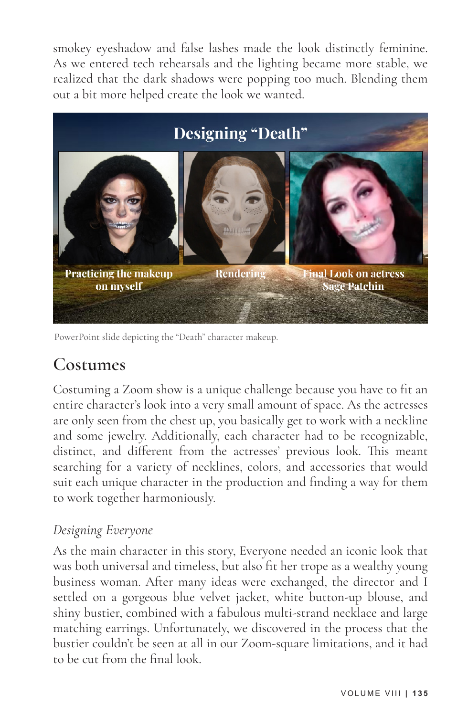smokey eyeshadow and false lashes made the look distinctly feminine. As we entered tech rehearsals and the lighting became more stable, we realized that the dark shadows were popping too much. Blending them out a bit more helped create the look we wanted.



PowerPoint slide depicting the "Death" character makeup.

### **Costumes**

Costuming a Zoom show is a unique challenge because you have to fit an entire character's look into a very small amount of space. As the actresses are only seen from the chest up, you basically get to work with a neckline and some jewelry. Additionally, each character had to be recognizable, distinct, and different from the actresses' previous look. This meant searching for a variety of necklines, colors, and accessories that would suit each unique character in the production and finding a way for them to work together harmoniously.

#### *Designing Everyone*

As the main character in this story, Everyone needed an iconic look that was both universal and timeless, but also fit her trope as a wealthy young business woman. After many ideas were exchanged, the director and I settled on a gorgeous blue velvet jacket, white button-up blouse, and shiny bustier, combined with a fabulous multi-strand necklace and large matching earrings. Unfortunately, we discovered in the process that the bustier couldn't be seen at all in our Zoom-square limitations, and it had to be cut from the final look.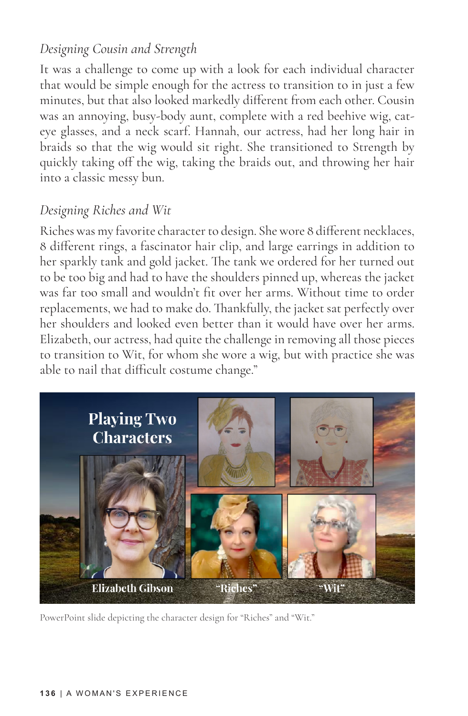#### *Designing Cousin and Strength*

It was a challenge to come up with a look for each individual character that would be simple enough for the actress to transition to in just a few minutes, but that also looked markedly different from each other. Cousin was an annoying, busy-body aunt, complete with a red beehive wig, cateye glasses, and a neck scarf. Hannah, our actress, had her long hair in braids so that the wig would sit right. She transitioned to Strength by quickly taking off the wig, taking the braids out, and throwing her hair into a classic messy bun.

#### *Designing Riches and Wit*

Riches was my favorite character to design. She wore 8 different necklaces, 8 different rings, a fascinator hair clip, and large earrings in addition to her sparkly tank and gold jacket. The tank we ordered for her turned out to be too big and had to have the shoulders pinned up, whereas the jacket was far too small and wouldn't fit over her arms. Without time to order replacements, we had to make do. Thankfully, the jacket sat perfectly over her shoulders and looked even better than it would have over her arms. Elizabeth, our actress, had quite the challenge in removing all those pieces to transition to Wit, for whom she wore a wig, but with practice she was able to nail that difficult costume change."



PowerPoint slide depicting the character design for "Riches" and "Wit."